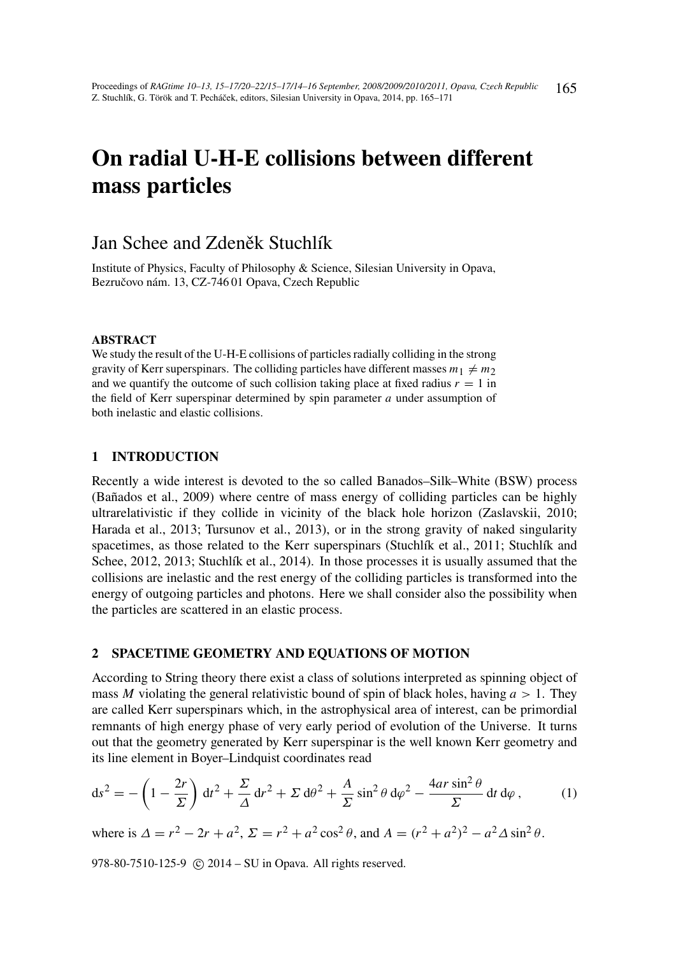# On radial U-H-E collisions between different mass particles

# Jan Schee and Zdeněk Stuchlík

Institute of Physics, Faculty of Philosophy & Science, Silesian University in Opava, Bezručovo nám. 13, CZ-746 01 Opava, Czech Republic

### ABSTRACT

We study the result of the U-H-E collisions of particles radially colliding in the strong gravity of Kerr superspinars. The colliding particles have different masses  $m_1 \neq m_2$ and we quantify the outcome of such collision taking place at fixed radius  $r = 1$  in the field of Kerr superspinar determined by spin parameter *a* under assumption of both inelastic and elastic collisions.

# 1 INTRODUCTION

Recently a wide interest is devoted to the so called Banados–Silk–White (BSW) process (Bañados et al., 2009) where centre of mass energy of colliding particles can be highly ultrarelativistic if they collide in vicinity of the black hole horizon (Zaslavskii, 2010; Harada et al., 2013; Tursunov et al., 2013), or in the strong gravity of naked singularity spacetimes, as those related to the Kerr superspinars (Stuchlík et al., 2011; Stuchlík and Schee, 2012, 2013; Stuchlík et al., 2014). In those processes it is usually assumed that the collisions are inelastic and the rest energy of the colliding particles is transformed into the energy of outgoing particles and photons. Here we shall consider also the possibility when the particles are scattered in an elastic process.

### 2 SPACETIME GEOMETRY AND EQUATIONS OF MOTION

According to String theory there exist a class of solutions interpreted as spinning object of mass *M* violating the general relativistic bound of spin of black holes, having  $a > 1$ . They are called Kerr superspinars which, in the astrophysical area of interest, can be primordial remnants of high energy phase of very early period of evolution of the Universe. It turns out that the geometry generated by Kerr superspinar is the well known Kerr geometry and its line element in Boyer–Lindquist coordinates read

$$
ds^{2} = -\left(1 - \frac{2r}{\Sigma}\right) dt^{2} + \frac{\Sigma}{\Delta} dr^{2} + \Sigma d\theta^{2} + \frac{A}{\Sigma} \sin^{2} \theta d\varphi^{2} - \frac{4ar \sin^{2} \theta}{\Sigma} dt d\varphi, \qquad (1)
$$

where is  $\Delta = r^2 - 2r + a^2$ ,  $\Sigma = r^2 + a^2 \cos^2 \theta$ , and  $A = (r^2 + a^2)^2 - a^2 \Delta \sin^2 \theta$ .

978-80-7510-125-9 (c) 2014 – SU in Opava. All rights reserved.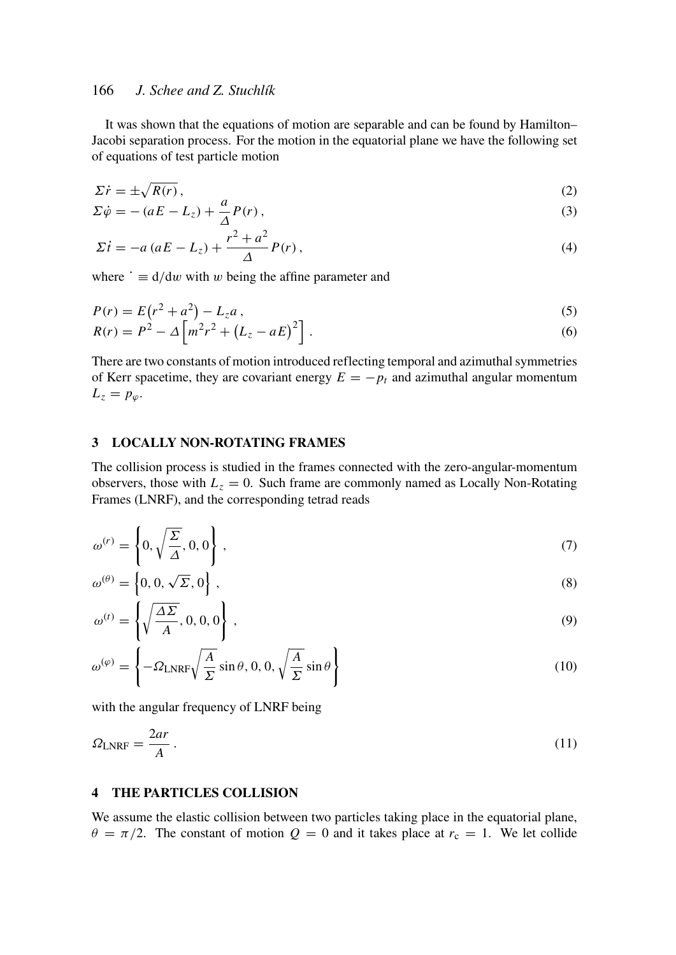# 166 *J. Schee and Z. Stuchlík*

It was shown that the equations of motion are separable and can be found by Hamilton– Jacobi separation process. For the motion in the equatorial plane we have the following set of equations of test particle motion

$$
\Sigma \dot{r} = \pm \sqrt{R(r)}\,,\tag{2}
$$

$$
\Sigma \dot{\varphi} = - (aE - L_z) + \frac{a}{\Delta} P(r) , \qquad (3)
$$

$$
\Sigma \dot{t} = -a (aE - L_z) + \frac{r^2 + a^2}{\Delta} P(r) , \qquad (4)
$$

where  $\dot{\phantom{a}} \equiv d/dw$  with w being the affine parameter and

$$
P(r) = E(r^2 + a^2) - L_z a,
$$
\n(5)

$$
R(r) = P^2 - \Delta \left[ m^2 r^2 + (L_z - aE)^2 \right].
$$
 (6)

There are two constants of motion introduced reflecting temporal and azimuthal symmetries of Kerr spacetime, they are covariant energy  $E = -p_t$  and azimuthal angular momentum  $L_z = p_\varphi$ .

#### 3 LOCALLY NON-ROTATING FRAMES

The collision process is studied in the frames connected with the zero-angular-momentum observers, those with  $L_z = 0$ . Such frame are commonly named as Locally Non-Rotating Frames (LNRF), and the corresponding tetrad reads

$$
\omega^{(r)} = \left\{ 0, \sqrt{\frac{\Sigma}{\Delta}}, 0, 0 \right\},\tag{7}
$$

$$
\omega^{(\theta)} = \left\{ 0, 0, \sqrt{\Sigma}, 0 \right\},\tag{8}
$$

$$
\omega^{(t)} = \left\{ \sqrt{\frac{\Delta \Sigma}{A}}, 0, 0, 0 \right\},\tag{9}
$$

$$
\omega^{(\varphi)} = \left\{-\Omega_{\text{LNRF}}\sqrt{\frac{A}{\Sigma}}\sin\theta, 0, 0, \sqrt{\frac{A}{\Sigma}}\sin\theta\right\}
$$
\n(10)

with the angular frequency of LNRF being

$$
\Omega_{\text{LNRF}} = \frac{2ar}{A} \,. \tag{11}
$$

# 4 THE PARTICLES COLLISION

We assume the elastic collision between two particles taking place in the equatorial plane,  $\theta = \pi/2$ . The constant of motion  $Q = 0$  and it takes place at  $r_c = 1$ . We let collide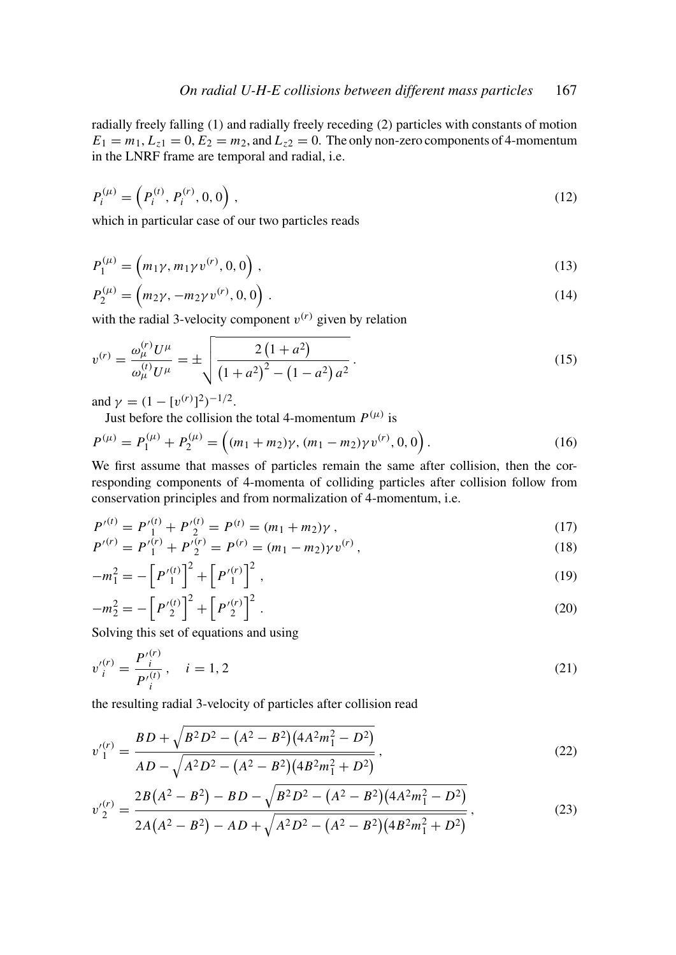radially freely falling (1) and radially freely receding (2) particles with constants of motion  $E_1 = m_1, L_{z1} = 0, E_2 = m_2$ , and  $L_{z2} = 0$ . The only non-zero components of 4-momentum in the LNRF frame are temporal and radial, i.e.

$$
P_i^{(\mu)} = \left( P_i^{(t)}, P_i^{(r)}, 0, 0 \right), \tag{12}
$$

which in particular case of our two particles reads

$$
P_1^{(\mu)} = (m_1 \gamma, m_1 \gamma v^{(r)}, 0, 0), \qquad (13)
$$

$$
P_2^{(\mu)} = (m_2 \gamma, -m_2 \gamma v^{(r)}, 0, 0).
$$
 (14)

with the radial 3-velocity component  $v^{(r)}$  given by relation

$$
v^{(r)} = \frac{\omega_{\mu}^{(r)} U^{\mu}}{\omega_{\mu}^{(t)} U^{\mu}} = \pm \sqrt{\frac{2 (1 + a^2)}{(1 + a^2)^2 - (1 - a^2) a^2}}.
$$
\n(15)

and  $\gamma = (1 - [v^{(r)}]^2)^{-1/2}$ .

Just before the collision the total 4-momentum  $P^{(\mu)}$  is

$$
P^{(\mu)} = P_1^{(\mu)} + P_2^{(\mu)} = \left( (m_1 + m_2) \gamma, (m_1 - m_2) \gamma v^{(r)}, 0, 0 \right). \tag{16}
$$

We first assume that masses of particles remain the same after collision, then the corresponding components of 4-momenta of colliding particles after collision follow from conservation principles and from normalization of 4-momentum, i.e.

$$
P'^{(t)} = P'^{(t)}_1 + P'^{(t)}_2 = P^{(t)} = (m_1 + m_2)\gamma , \qquad (17)
$$

$$
P'^{(r)} = P'^{(r)}_1 + P'^{(r)}_2 = P^{(r)} = (m_1 - m_2)\gamma v^{(r)},
$$
\n(18)

$$
-m_1^2 = -\left[P_1^{'(t)}\right]^2 + \left[P_1^{'(r)}\right]^2,\tag{19}
$$

$$
-m_2^2 = -\left[P_2^{(t)}\right]^2 + \left[P_2^{(r)}\right]^2.
$$
\n(20)

Solving this set of equations and using

$$
v_i^{(r)} = \frac{P_i^{(r)}}{P_i^{(t)}}, \quad i = 1, 2
$$
\n(21)

the resulting radial 3-velocity of particles after collision read

$$
v_1^{(r)} = \frac{BD + \sqrt{B^2 D^2 - (A^2 - B^2)(4A^2 m_1^2 - D^2)}}{AD - \sqrt{A^2 D^2 - (A^2 - B^2)(4B^2 m_1^2 + D^2)}},
$$
\n(22)

$$
v_2'^{(r)} = \frac{2B(A^2 - B^2) - BD - \sqrt{B^2 D^2 - (A^2 - B^2)(4A^2 m_1^2 - D^2)}}{2A(A^2 - B^2) - AD + \sqrt{A^2 D^2 - (A^2 - B^2)(4B^2 m_1^2 + D^2)}},
$$
(23)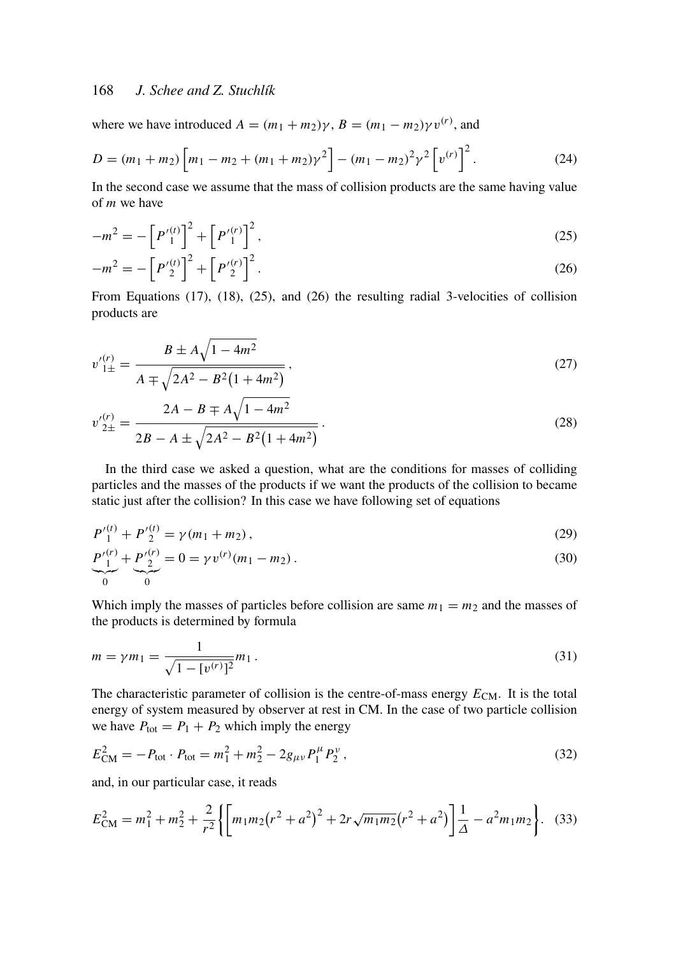# 168 *J. Schee and Z. Stuchlík*

where we have introduced  $A = (m_1 + m_2)\gamma$ ,  $B = (m_1 - m_2)\gamma v^{(r)}$ , and

$$
D = (m_1 + m_2) \left[ m_1 - m_2 + (m_1 + m_2) \gamma^2 \right] - (m_1 - m_2)^2 \gamma^2 \left[ v^{(r)} \right]^2.
$$
 (24)

In the second case we assume that the mass of collision products are the same having value of *m* we have

$$
-m^{2} = -\left[P_{1}^{'(t)}\right]^{2} + \left[P_{1}^{'(t)}\right]^{2},\tag{25}
$$

$$
-m^{2} = -\left[P_{2}'^{(t)}\right]^{2} + \left[P_{2}'^{(r)}\right]^{2}.
$$
\n(26)

From Equations (17), (18), (25), and (26) the resulting radial 3-velocities of collision products are

$$
v_{1\pm}^{(r)} = \frac{B \pm A\sqrt{1 - 4m^2}}{A \mp \sqrt{2A^2 - B^2(1 + 4m^2)}},\tag{27}
$$

$$
v_{2\pm}^{(r)} = \frac{2A - B \mp A\sqrt{1 - 4m^2}}{2B - A \pm \sqrt{2A^2 - B^2(1 + 4m^2)}}.
$$
\n(28)

In the third case we asked a question, what are the conditions for masses of colliding particles and the masses of the products if we want the products of the collision to became static just after the collision? In this case we have following set of equations

$$
P_1^{\prime (t)} + P_2^{\prime (t)} = \gamma (m_1 + m_2), \qquad (29)
$$

$$
\underbrace{P_1^{(r)}}_0 + \underbrace{P_2'^{(r)}}_0 = 0 = \gamma v^{(r)}(m_1 - m_2).
$$
\n(30)

Which imply the masses of particles before collision are same  $m_1 = m_2$  and the masses of the products is determined by formula

$$
m = \gamma m_1 = \frac{1}{\sqrt{1 - [v^{(r)}]^2}} m_1.
$$
\n(31)

The characteristic parameter of collision is the centre-of-mass energy  $E_{CM}$ . It is the total energy of system measured by observer at rest in CM. In the case of two particle collision we have  $P_{\text{tot}} = P_1 + P_2$  which imply the energy

$$
E_{\rm CM}^2 = -P_{\rm tot} \cdot P_{\rm tot} = m_1^2 + m_2^2 - 2g_{\mu\nu}P_1^{\mu}P_2^{\nu} \,, \tag{32}
$$

and, in our particular case, it reads

$$
E_{\rm CM}^2 = m_1^2 + m_2^2 + \frac{2}{r^2} \left\{ \left[ m_1 m_2 (r^2 + a^2)^2 + 2r \sqrt{m_1 m_2} (r^2 + a^2) \right] \frac{1}{\Delta} - a^2 m_1 m_2 \right\}.
$$
 (33)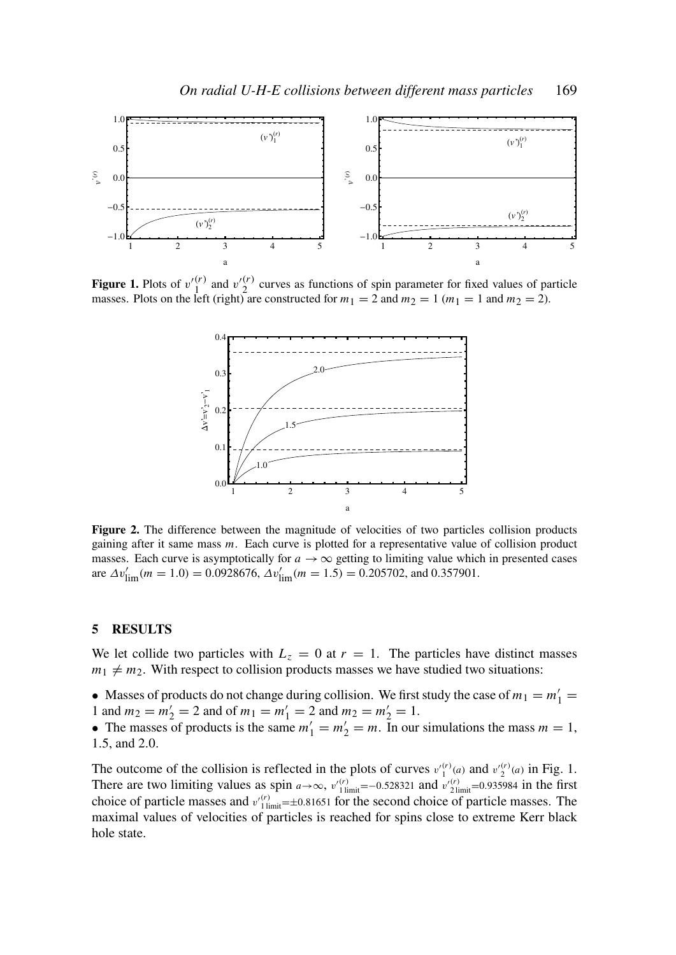

Figure 1. Plots of  $v'^{(r)}_1$  and  $v'^{(r)}_2$  curves as functions of spin parameter for fixed values of particle masses. Plots on the left (right) are constructed for  $m_1 = 2$  and  $m_2 = 1$  ( $m_1 = 1$  and  $m_2 = 2$ ).



Figure 2. The difference between the magnitude of velocities of two particles collision products gaining after it same mass *m*. Each curve is plotted for a representative value of collision product masses. Each curve is asymptotically for  $a \rightarrow \infty$  getting to limiting value which in presented cases are  $\Delta v'_{\text{lim}}(m = 1.0) = 0.0928676$ ,  $\Delta v'_{\text{lim}}(m = 1.5) = 0.205702$ , and 0.357901.

#### 5 RESULTS

We let collide two particles with  $L_z = 0$  at  $r = 1$ . The particles have distinct masses  $m_1 \neq m_2$ . With respect to collision products masses we have studied two situations:

• Masses of products do not change during collision. We first study the case of  $m_1 = m'_1 =$ 1 and  $m_2 = m'_2 = 2$  and of  $m_1 = m'_1 = 2$  and  $m_2 = m'_2 = 1$ .

• The masses of products is the same  $m'_1 = m'_2 = m$ . In our simulations the mass  $m = 1$ , 1.5, and 2.0.

The outcome of the collision is reflected in the plots of curves  $v_1^{(r)}(a)$  and  $v_2^{(r)}(a)$  in Fig. 1. There are two limiting values as spin  $a \rightarrow \infty$ ,  $v'_{1\text{ limit}}^{(r)} = -0.528321$  and  $v'_{2\text{limit}}^{(r)} = 0.935984$  in the first choice of particle masses and  $v_{1\text{limit}}^{\prime(r)} = \pm 0.81651$  for the second choice of particle masses. The maximal values of velocities of particles is reached for spins close to extreme Kerr black hole state.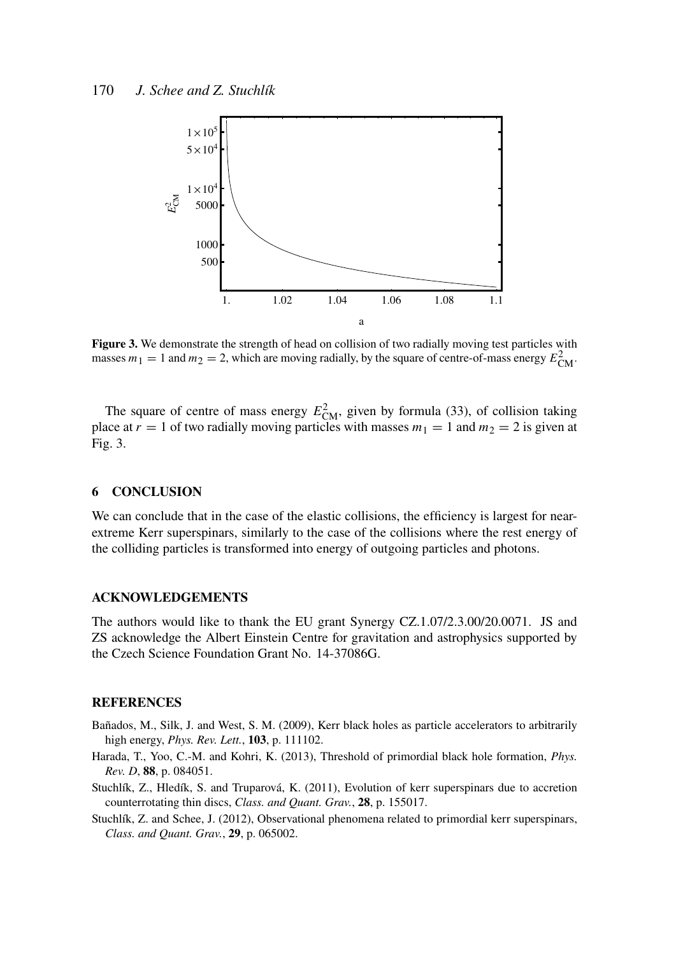

Figure 3. We demonstrate the strength of head on collision of two radially moving test particles with masses  $m_1 = 1$  and  $m_2 = 2$ , which are moving radially, by the square of centre-of-mass energy  $E_{CM}^2$ 

The square of centre of mass energy  $E_{CM}^2$ , given by formula (33), of collision taking place at  $r = 1$  of two radially moving particles with masses  $m_1 = 1$  and  $m_2 = 2$  is given at Fig. 3.

# 6 CONCLUSION

We can conclude that in the case of the elastic collisions, the efficiency is largest for nearextreme Kerr superspinars, similarly to the case of the collisions where the rest energy of the colliding particles is transformed into energy of outgoing particles and photons.

### ACKNOWLEDGEMENTS

The authors would like to thank the EU grant Synergy CZ.1.07/2.3.00/20.0071. JS and ZS acknowledge the Albert Einstein Centre for gravitation and astrophysics supported by the Czech Science Foundation Grant No. 14-37086G.

# REFERENCES

- Bañados, M., Silk, J. and West, S. M. (2009), Kerr black holes as particle accelerators to arbitrarily high energy, *Phys. Rev. Lett.*, 103, p. 111102.
- Harada, T., Yoo, C.-M. and Kohri, K. (2013), Threshold of primordial black hole formation, *Phys. Rev. D*, 88, p. 084051.
- Stuchlík, Z., Hledík, S. and Truparová, K. (2011), Evolution of kerr superspinars due to accretion counterrotating thin discs, *Class. and Quant. Grav.*, 28, p. 155017.
- Stuchlík, Z. and Schee, J. (2012), Observational phenomena related to primordial kerr superspinars, *Class. and Quant. Grav.*, 29, p. 065002.